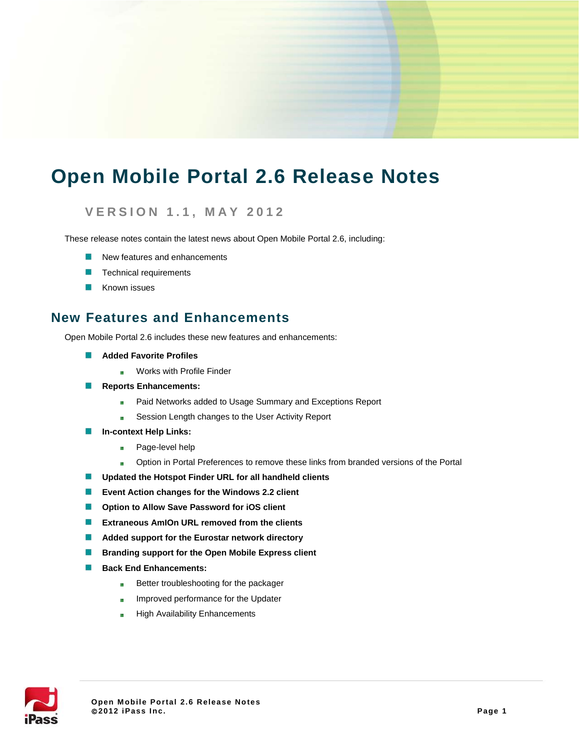# **Open Mobile Portal 2.6 Release Notes**

### **VERSION 1.1 , MAY 2012**

These release notes contain the latest news about Open Mobile Portal 2.6, including:

- New features and enhancements
- Technical requirements
- Known issues

### **New Features and Enhancements**

Open Mobile Portal 2.6 includes these new features and enhancements:

- **Added Favorite Profiles**
	- Works with Profile Finder m.
- **Reports Enhancements:** 
	- Paid Networks added to Usage Summary and Exceptions Report **Sky**
	- Session Length changes to the User Activity Report ò.
- **In-context Help Links: ISB** 
	- **By** Page-level help
	- Option in Portal Preferences to remove these links from branded versions of the Portal  $\overline{\Omega}$
- **Updated the Hotspot Finder URL for all handheld clients** K
- 闗 **Event Action changes for the Windows 2.2 client**
- **Option to Allow Save Password for iOS client** B
- $\mathbb{R}^N$ **Extraneous AmIOn URL removed from the clients**
- **Added support for the Eurostar network directory** 闗
- **Branding support for the Open Mobile Express client**
- **Back End Enhancements: ISB** 
	- Better troubleshooting for the packager b.
	- Improved performance for the Updater ù.
	- High Availability Enhancementsi.<br>Shi

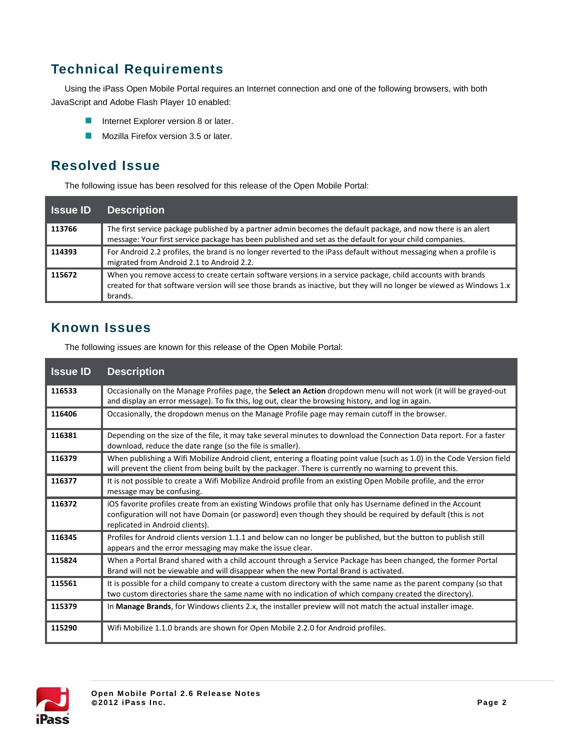# **Technical Requirements**

Using the iPass Open Mobile Portal requires an Internet connection and one of the following browsers, with both JavaScript and Adobe Flash Player 10 enabled:

- **Internet Explorer version 8 or later.**
- **Mozilla Firefox version 3.5 or later.**

## **Resolved Issue**

The following issue has been resolved for this release of the Open Mobile Portal:

| <b>Issue ID</b> | <b>Description</b>                                                                                                                                                                                                                              |
|-----------------|-------------------------------------------------------------------------------------------------------------------------------------------------------------------------------------------------------------------------------------------------|
| 113766          | The first service package published by a partner admin becomes the default package, and now there is an alert<br>message: Your first service package has been published and set as the default for your child companies.                        |
| 114393          | For Android 2.2 profiles, the brand is no longer reverted to the iPass default without messaging when a profile is<br>migrated from Android 2.1 to Android 2.2.                                                                                 |
| 115672          | When you remove access to create certain software versions in a service package, child accounts with brands<br>created for that software version will see those brands as inactive, but they will no longer be viewed as Windows 1.x<br>brands. |

## **Known Issues**

The following issues are known for this release of the Open Mobile Portal:

| <b>Issue ID</b> | <b>Description</b>                                                                                                                                                                                                                                             |
|-----------------|----------------------------------------------------------------------------------------------------------------------------------------------------------------------------------------------------------------------------------------------------------------|
| 116533          | Occasionally on the Manage Profiles page, the <b>Select an Action</b> dropdown menu will not work (it will be grayed-out<br>and display an error message). To fix this, log out, clear the browsing history, and log in again.                                 |
| 116406          | Occasionally, the dropdown menus on the Manage Profile page may remain cutoff in the browser.                                                                                                                                                                  |
| 116381          | Depending on the size of the file, it may take several minutes to download the Connection Data report. For a faster<br>download, reduce the date range (so the file is smaller).                                                                               |
| 116379          | When publishing a Wifi Mobilize Android client, entering a floating point value (such as 1.0) in the Code Version field<br>will prevent the client from being built by the packager. There is currently no warning to prevent this.                            |
| 116377          | It is not possible to create a Wifi Mobilize Android profile from an existing Open Mobile profile, and the error<br>message may be confusing.                                                                                                                  |
| 116372          | iOS favorite profiles create from an existing Windows profile that only has Username defined in the Account<br>configuration will not have Domain (or password) even though they should be required by default (this is not<br>replicated in Android clients). |
| 116345          | Profiles for Android clients version 1.1.1 and below can no longer be published, but the button to publish still<br>appears and the error messaging may make the issue clear.                                                                                  |
| 115824          | When a Portal Brand shared with a child account through a Service Package has been changed, the former Portal<br>Brand will not be viewable and will disappear when the new Portal Brand is activated.                                                         |
| 115561          | It is possible for a child company to create a custom directory with the same name as the parent company (so that<br>two custom directories share the same name with no indication of which company created the directory).                                    |
| 115379          | In Manage Brands, for Windows clients 2.x, the installer preview will not match the actual installer image.                                                                                                                                                    |
| 115290          | Wifi Mobilize 1.1.0 brands are shown for Open Mobile 2.2.0 for Android profiles.                                                                                                                                                                               |